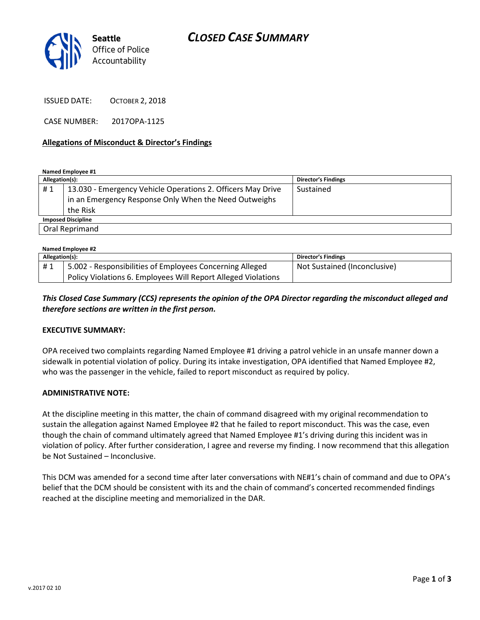

ISSUED DATE: OCTOBER 2, 2018

CASE NUMBER: 2017OPA-1125

### Allegations of Misconduct & Director's Findings

Named Employee #1

| Allegation(s):            |                                                             | <b>Director's Findings</b> |  |
|---------------------------|-------------------------------------------------------------|----------------------------|--|
| #1                        | 13.030 - Emergency Vehicle Operations 2. Officers May Drive | Sustained                  |  |
|                           | in an Emergency Response Only When the Need Outweighs       |                            |  |
|                           | the Risk                                                    |                            |  |
| <b>Imposed Discipline</b> |                                                             |                            |  |
| Oral Reprimand            |                                                             |                            |  |

| Named Employee #2 |                                                               |                              |  |
|-------------------|---------------------------------------------------------------|------------------------------|--|
| Allegation(s):    |                                                               | <b>Director's Findings</b>   |  |
| #1                | 5.002 - Responsibilities of Employees Concerning Alleged      | Not Sustained (Inconclusive) |  |
|                   | Policy Violations 6. Employees Will Report Alleged Violations |                              |  |

### This Closed Case Summary (CCS) represents the opinion of the OPA Director regarding the misconduct alleged and therefore sections are written in the first person.

#### EXECUTIVE SUMMARY:

OPA received two complaints regarding Named Employee #1 driving a patrol vehicle in an unsafe manner down a sidewalk in potential violation of policy. During its intake investigation, OPA identified that Named Employee #2, who was the passenger in the vehicle, failed to report misconduct as required by policy.

#### ADMINISTRATIVE NOTE:

At the discipline meeting in this matter, the chain of command disagreed with my original recommendation to sustain the allegation against Named Employee #2 that he failed to report misconduct. This was the case, even though the chain of command ultimately agreed that Named Employee #1's driving during this incident was in violation of policy. After further consideration, I agree and reverse my finding. I now recommend that this allegation be Not Sustained – Inconclusive.

This DCM was amended for a second time after later conversations with NE#1's chain of command and due to OPA's belief that the DCM should be consistent with its and the chain of command's concerted recommended findings reached at the discipline meeting and memorialized in the DAR.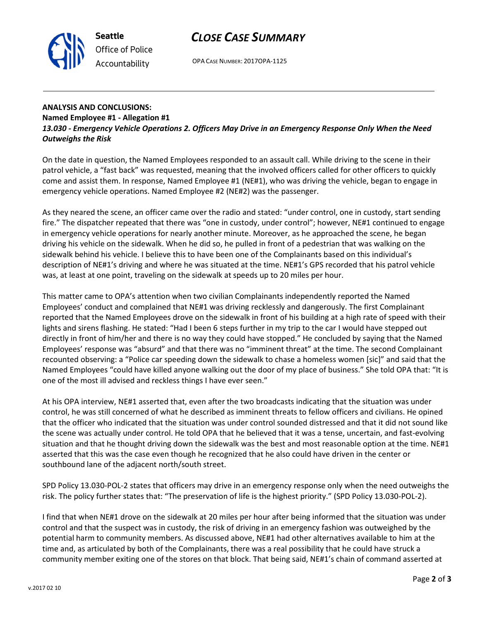## CLOSE CASE SUMMARY



OPA CASE NUMBER: 2017OPA-1125

## ANALYSIS AND CONCLUSIONS: Named Employee #1 - Allegation #1 13.030 - Emergency Vehicle Operations 2. Officers May Drive in an Emergency Response Only When the Need Outweighs the Risk

On the date in question, the Named Employees responded to an assault call. While driving to the scene in their patrol vehicle, a "fast back" was requested, meaning that the involved officers called for other officers to quickly come and assist them. In response, Named Employee #1 (NE#1), who was driving the vehicle, began to engage in emergency vehicle operations. Named Employee #2 (NE#2) was the passenger.

As they neared the scene, an officer came over the radio and stated: "under control, one in custody, start sending fire." The dispatcher repeated that there was "one in custody, under control"; however, NE#1 continued to engage in emergency vehicle operations for nearly another minute. Moreover, as he approached the scene, he began driving his vehicle on the sidewalk. When he did so, he pulled in front of a pedestrian that was walking on the sidewalk behind his vehicle. I believe this to have been one of the Complainants based on this individual's description of NE#1's driving and where he was situated at the time. NE#1's GPS recorded that his patrol vehicle was, at least at one point, traveling on the sidewalk at speeds up to 20 miles per hour.

This matter came to OPA's attention when two civilian Complainants independently reported the Named Employees' conduct and complained that NE#1 was driving recklessly and dangerously. The first Complainant reported that the Named Employees drove on the sidewalk in front of his building at a high rate of speed with their lights and sirens flashing. He stated: "Had I been 6 steps further in my trip to the car I would have stepped out directly in front of him/her and there is no way they could have stopped." He concluded by saying that the Named Employees' response was "absurd" and that there was no "imminent threat" at the time. The second Complainant recounted observing: a "Police car speeding down the sidewalk to chase a homeless women [sic]" and said that the Named Employees "could have killed anyone walking out the door of my place of business." She told OPA that: "It is one of the most ill advised and reckless things I have ever seen."

At his OPA interview, NE#1 asserted that, even after the two broadcasts indicating that the situation was under control, he was still concerned of what he described as imminent threats to fellow officers and civilians. He opined that the officer who indicated that the situation was under control sounded distressed and that it did not sound like the scene was actually under control. He told OPA that he believed that it was a tense, uncertain, and fast-evolving situation and that he thought driving down the sidewalk was the best and most reasonable option at the time. NE#1 asserted that this was the case even though he recognized that he also could have driven in the center or southbound lane of the adjacent north/south street.

SPD Policy 13.030-POL-2 states that officers may drive in an emergency response only when the need outweighs the risk. The policy further states that: "The preservation of life is the highest priority." (SPD Policy 13.030-POL-2).

I find that when NE#1 drove on the sidewalk at 20 miles per hour after being informed that the situation was under control and that the suspect was in custody, the risk of driving in an emergency fashion was outweighed by the potential harm to community members. As discussed above, NE#1 had other alternatives available to him at the time and, as articulated by both of the Complainants, there was a real possibility that he could have struck a community member exiting one of the stores on that block. That being said, NE#1's chain of command asserted at